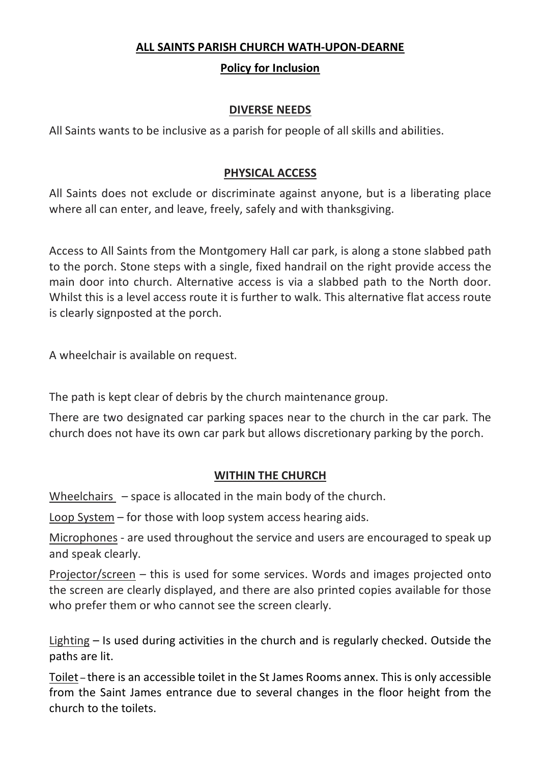### **ALL SAINTS PARISH CHURCH WATH-UPON-DEARNE**

# **Policy for Inclusion**

# **DIVERSE NEEDS**

All Saints wants to be inclusive as a parish for people of all skills and abilities.

# **PHYSICAL ACCESS**

All Saints does not exclude or discriminate against anyone, but is a liberating place where all can enter, and leave, freely, safely and with thanksgiving.

Access to All Saints from the Montgomery Hall car park, is along a stone slabbed path to the porch. Stone steps with a single, fixed handrail on the right provide access the main door into church. Alternative access is via a slabbed path to the North door. Whilst this is a level access route it is further to walk. This alternative flat access route is clearly signposted at the porch.

A wheelchair is available on request.

The path is kept clear of debris by the church maintenance group.

There are two designated car parking spaces near to the church in the car park. The church does not have its own car park but allows discretionary parking by the porch.

### **WITHIN THE CHURCH**

Wheelchairs – space is allocated in the main body of the church.

Loop System – for those with loop system access hearing aids.

Microphones - are used throughout the service and users are encouraged to speak up and speak clearly.

Projector/screen – this is used for some services. Words and images projected onto the screen are clearly displayed, and there are also printed copies available for those who prefer them or who cannot see the screen clearly.

Lighting – Is used during activities in the church and is regularly checked. Outside the paths are lit.

Toilet – there is an accessible toilet in the St James Rooms annex. This is only accessible from the Saint James entrance due to several changes in the floor height from the church to the toilets.